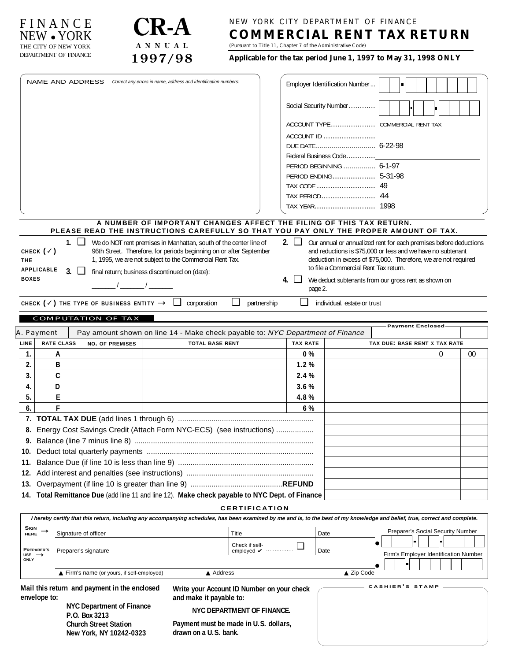|  |  | FINANCE               |  |
|--|--|-----------------------|--|
|  |  | NEW • YORK            |  |
|  |  | THE CITY OF NEW YORK  |  |
|  |  | DEPARTMENT OF FINANCE |  |



NEW YORK CITY DEPARTMENT OF FINANCE

**COMMERCIAL RENT TAX RETURN**

(Pursuant to Title 11, Chapter 7 of the Administrative Code)

**Applicable for the tax period June 1, 1997 to May 31, 1998 ONLY**

|                                  |                                   |                                                                                                                                                                                                                                                                                                                                                                                                                                 | NAME AND ADDRESS Correct any errors in name, address and identification numbers:                                                                                             |                            |                 | Employer Identification Number        |                                                                                                                                  |    |
|----------------------------------|-----------------------------------|---------------------------------------------------------------------------------------------------------------------------------------------------------------------------------------------------------------------------------------------------------------------------------------------------------------------------------------------------------------------------------------------------------------------------------|------------------------------------------------------------------------------------------------------------------------------------------------------------------------------|----------------------------|-----------------|---------------------------------------|----------------------------------------------------------------------------------------------------------------------------------|----|
|                                  |                                   |                                                                                                                                                                                                                                                                                                                                                                                                                                 |                                                                                                                                                                              |                            |                 | Social Security Number                |                                                                                                                                  |    |
|                                  |                                   |                                                                                                                                                                                                                                                                                                                                                                                                                                 |                                                                                                                                                                              |                            |                 |                                       | ACCOUNT TYPE  COMMERCIAL RENT TAX                                                                                                |    |
|                                  |                                   |                                                                                                                                                                                                                                                                                                                                                                                                                                 |                                                                                                                                                                              |                            |                 | ACCOUNT ID                            |                                                                                                                                  |    |
|                                  |                                   |                                                                                                                                                                                                                                                                                                                                                                                                                                 |                                                                                                                                                                              |                            |                 |                                       |                                                                                                                                  |    |
|                                  |                                   |                                                                                                                                                                                                                                                                                                                                                                                                                                 |                                                                                                                                                                              |                            |                 | Federal Business Code                 |                                                                                                                                  |    |
|                                  |                                   |                                                                                                                                                                                                                                                                                                                                                                                                                                 |                                                                                                                                                                              |                            |                 | PERIOD BEGINNING  6-1-97              |                                                                                                                                  |    |
|                                  |                                   |                                                                                                                                                                                                                                                                                                                                                                                                                                 |                                                                                                                                                                              |                            |                 |                                       |                                                                                                                                  |    |
|                                  |                                   |                                                                                                                                                                                                                                                                                                                                                                                                                                 |                                                                                                                                                                              |                            |                 |                                       |                                                                                                                                  |    |
|                                  |                                   |                                                                                                                                                                                                                                                                                                                                                                                                                                 |                                                                                                                                                                              |                            |                 | TAX YEAR 1998                         |                                                                                                                                  |    |
|                                  |                                   |                                                                                                                                                                                                                                                                                                                                                                                                                                 |                                                                                                                                                                              |                            |                 |                                       |                                                                                                                                  |    |
|                                  |                                   |                                                                                                                                                                                                                                                                                                                                                                                                                                 | A NUMBER OF IMPORTANT CHANGES AFFECT THE FILING OF THIS TAX RETURN.<br>PLEASE READ THE INSTRUCTIONS CAREFULLY SO THAT YOU PAY ONLY THE PROPER AMOUNT OF TAX.                 |                            |                 |                                       |                                                                                                                                  |    |
|                                  | 1. $\Box$<br>CHECK $(\checkmark)$ |                                                                                                                                                                                                                                                                                                                                                                                                                                 | We do NOT rent premises in Manhattan, south of the center line of<br>96th Street. Therefore, for periods beginning on or after September                                     |                            | $2. \cup$       |                                       | Our annual or annualized rent for each premises before deductions<br>and reductions is \$75,000 or less and we have no subtenant |    |
| <b>THE</b>                       |                                   |                                                                                                                                                                                                                                                                                                                                                                                                                                 | 1, 1995, we are not subject to the Commercial Rent Tax.                                                                                                                      |                            |                 |                                       | deduction in excess of \$75,000. Therefore, we are not required                                                                  |    |
|                                  | APPLICABLE<br>$3.$ $\Box$         |                                                                                                                                                                                                                                                                                                                                                                                                                                 | final return; business discontinued on (date):                                                                                                                               |                            |                 | to file a Commercial Rent Tax return. |                                                                                                                                  |    |
| <b>BOXES</b>                     |                                   | $\frac{1}{\sqrt{1-\frac{1}{2}}}\frac{1}{\sqrt{1-\frac{1}{2}}}\frac{1}{\sqrt{1-\frac{1}{2}}}\frac{1}{\sqrt{1-\frac{1}{2}}}\frac{1}{\sqrt{1-\frac{1}{2}}}\frac{1}{\sqrt{1-\frac{1}{2}}}\frac{1}{\sqrt{1-\frac{1}{2}}}\frac{1}{\sqrt{1-\frac{1}{2}}}\frac{1}{\sqrt{1-\frac{1}{2}}}\frac{1}{\sqrt{1-\frac{1}{2}}}\frac{1}{\sqrt{1-\frac{1}{2}}}\frac{1}{\sqrt{1-\frac{1}{2}}}\frac{1}{\sqrt{1-\frac{1}{2}}}\frac{1}{\sqrt{1-\frac{$ |                                                                                                                                                                              |                            | 4. ⊔            |                                       | We deduct subtenants from our gross rent as shown on                                                                             |    |
|                                  |                                   |                                                                                                                                                                                                                                                                                                                                                                                                                                 |                                                                                                                                                                              |                            |                 | page 2.                               |                                                                                                                                  |    |
|                                  |                                   |                                                                                                                                                                                                                                                                                                                                                                                                                                 | CHECK $(\checkmark)$ The TYPE OF BUSINESS ENTITY $\rightarrow \Box$ corporation<br>$\Box$                                                                                    | partnership                | ⊔               | individual, estate or trust           |                                                                                                                                  |    |
|                                  |                                   | <b>COMPUTATION OF TAX</b>                                                                                                                                                                                                                                                                                                                                                                                                       |                                                                                                                                                                              |                            |                 |                                       |                                                                                                                                  |    |
|                                  | A. Payment                        |                                                                                                                                                                                                                                                                                                                                                                                                                                 | Pay amount shown on line 14 - Make check payable to: NYC Department of Finance                                                                                               |                            |                 |                                       | <b>Payment Enclosed</b>                                                                                                          |    |
| LINE                             | <b>RATE CLASS</b>                 | <b>NO. OF PREMISES</b>                                                                                                                                                                                                                                                                                                                                                                                                          | <b>TOTAL BASE RENT</b>                                                                                                                                                       |                            | <b>TAX RATE</b> |                                       | TAX DUE: BASE RENT X TAX RATE                                                                                                    |    |
| 1.                               | A                                 |                                                                                                                                                                                                                                                                                                                                                                                                                                 |                                                                                                                                                                              |                            | 0%              |                                       | 0                                                                                                                                | 00 |
| 2.                               | B                                 |                                                                                                                                                                                                                                                                                                                                                                                                                                 |                                                                                                                                                                              |                            | 1.2%            |                                       |                                                                                                                                  |    |
| 3.                               | C                                 |                                                                                                                                                                                                                                                                                                                                                                                                                                 |                                                                                                                                                                              |                            | 2.4%            |                                       |                                                                                                                                  |    |
| 4.                               | D                                 |                                                                                                                                                                                                                                                                                                                                                                                                                                 |                                                                                                                                                                              |                            | 3.6%            |                                       |                                                                                                                                  |    |
|                                  |                                   |                                                                                                                                                                                                                                                                                                                                                                                                                                 |                                                                                                                                                                              |                            |                 |                                       |                                                                                                                                  |    |
| 5.                               | E                                 |                                                                                                                                                                                                                                                                                                                                                                                                                                 |                                                                                                                                                                              |                            | 4.8%            |                                       |                                                                                                                                  |    |
| 6.                               | F                                 |                                                                                                                                                                                                                                                                                                                                                                                                                                 |                                                                                                                                                                              |                            | 6 %             |                                       |                                                                                                                                  |    |
|                                  |                                   |                                                                                                                                                                                                                                                                                                                                                                                                                                 |                                                                                                                                                                              |                            |                 |                                       |                                                                                                                                  |    |
|                                  |                                   |                                                                                                                                                                                                                                                                                                                                                                                                                                 | 8. Energy Cost Savings Credit (Attach Form NYC-ECS) (see instructions)                                                                                                       |                            |                 |                                       |                                                                                                                                  |    |
|                                  |                                   |                                                                                                                                                                                                                                                                                                                                                                                                                                 |                                                                                                                                                                              |                            |                 |                                       |                                                                                                                                  |    |
|                                  |                                   |                                                                                                                                                                                                                                                                                                                                                                                                                                 |                                                                                                                                                                              |                            |                 |                                       |                                                                                                                                  |    |
| 11.                              |                                   |                                                                                                                                                                                                                                                                                                                                                                                                                                 |                                                                                                                                                                              |                            |                 |                                       |                                                                                                                                  |    |
| 12.                              |                                   |                                                                                                                                                                                                                                                                                                                                                                                                                                 |                                                                                                                                                                              |                            |                 |                                       |                                                                                                                                  |    |
| 13.                              |                                   |                                                                                                                                                                                                                                                                                                                                                                                                                                 |                                                                                                                                                                              |                            |                 |                                       |                                                                                                                                  |    |
|                                  |                                   |                                                                                                                                                                                                                                                                                                                                                                                                                                 | 14. Total Remittance Due (add line 11 and line 12). Make check payable to NYC Dept. of Finance                                                                               | <b>CERTIFICATION</b>       |                 |                                       |                                                                                                                                  |    |
|                                  |                                   |                                                                                                                                                                                                                                                                                                                                                                                                                                 | I hereby certify that this return, including any accompanying schedules, has been examined by me and is, to the best of my knowledge and belief, true, correct and complete. |                            |                 |                                       |                                                                                                                                  |    |
| Sign<br><b>HERE</b>              |                                   | Signature of officer                                                                                                                                                                                                                                                                                                                                                                                                            | Title                                                                                                                                                                        |                            |                 | Date                                  | Preparer's Social Security Number                                                                                                |    |
|                                  | PREPARER'S                        |                                                                                                                                                                                                                                                                                                                                                                                                                                 |                                                                                                                                                                              | Check if self-             | $\sqcup$        | Date                                  |                                                                                                                                  |    |
| $use \rightarrow$<br><b>ONLY</b> |                                   | Preparer's signature                                                                                                                                                                                                                                                                                                                                                                                                            |                                                                                                                                                                              | employed v                 |                 |                                       | Firm's Employer Identification Number                                                                                            |    |
|                                  |                                   | Firm's name (or yours, if self-employed)                                                                                                                                                                                                                                                                                                                                                                                        | ▲ Address                                                                                                                                                                    |                            |                 | ▲ Zip Code                            |                                                                                                                                  |    |
|                                  | envelope to:                      | Mail this return and payment in the enclosed                                                                                                                                                                                                                                                                                                                                                                                    | Write your Account ID Number on your check<br>and make it payable to:                                                                                                        |                            |                 |                                       | <b>CASHIER'S STAMP</b>                                                                                                           |    |
|                                  |                                   | <b>NYC Department of Finance</b><br>P.O. Box 3213                                                                                                                                                                                                                                                                                                                                                                               |                                                                                                                                                                              | NYC DEPARTMENT OF FINANCE. |                 |                                       |                                                                                                                                  |    |

**Payment must be made in U.S. dollars, drawn on a U.S. bank.**

**New York, NY 10242-0323**